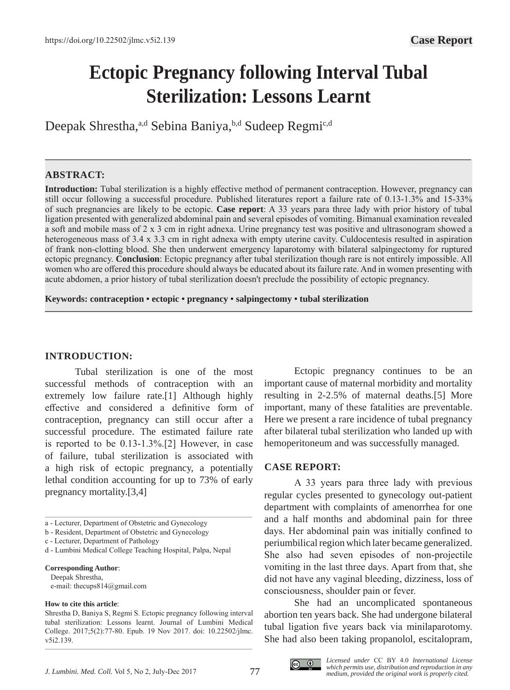# **Ectopic Pregnancy following Interval Tubal Sterilization: Lessons Learnt**

Deepak Shrestha,<sup>a,d</sup> Sebina Baniya,<sup>b,d</sup> Sudeep Regmi<sup>c,d</sup>

# **ABSTRACT:**

**Introduction:** Tubal sterilization is a highly effective method of permanent contraception. However, pregnancy can still occur following a successful procedure. Published literatures report a failure rate of 0.13-1.3% and 15-33% of such pregnancies are likely to be ectopic. **Case report**: A 33 years para three lady with prior history of tubal ligation presented with generalized abdominal pain and several episodes of vomiting. Bimanual examination revealed a soft and mobile mass of 2 x 3 cm in right adnexa. Urine pregnancy test was positive and ultrasonogram showed a heterogeneous mass of 3.4 x 3.3 cm in right adnexa with empty uterine cavity. Culdocentesis resulted in aspiration of frank non-clotting blood. She then underwent emergency laparotomy with bilateral salpingectomy for ruptured ectopic pregnancy. **Conclusion**: Ectopic pregnancy after tubal sterilization though rare is not entirely impossible. All women who are offered this procedure should always be educated about its failure rate. And in women presenting with acute abdomen, a prior history of tubal sterilization doesn't preclude the possibility of ectopic pregnancy.

**———————————————————————————————————————————————**

**—–—————————————————————————————————————————————**

**Keywords: contraception • ectopic • pregnancy • salpingectomy • tubal sterilization**

## **INTRODUCTION:**

Tubal sterilization is one of the most successful methods of contraception with an extremely low failure rate.[1] Although highly effective and considered a definitive form of contraception, pregnancy can still occur after a successful procedure. The estimated failure rate is reported to be 0.13-1.3%.[2] However, in case of failure, tubal sterilization is associated with a high risk of ectopic pregnancy, a potentially lethal condition accounting for up to 73% of early pregnancy mortality.[3,4]

\_\_\_\_\_\_\_\_\_\_\_\_\_\_\_\_\_\_\_\_\_\_\_\_\_\_\_\_\_\_\_\_\_\_\_\_\_\_\_\_\_\_\_\_\_\_\_\_\_\_\_\_\_\_\_\_\_\_\_\_\_\_\_\_\_\_\_\_\_\_\_\_\_\_\_\_\_\_\_\_\_\_\_

#### **Corresponding Author**:

 Deepak Shrestha, e-mail: thecups814@gmail.com

#### **How to cite this article**:

\_\_\_\_\_\_\_\_\_\_\_\_\_\_\_\_\_\_\_\_\_\_\_\_\_\_\_\_\_\_\_\_\_\_\_\_\_\_\_\_\_\_\_\_\_\_\_\_\_\_\_\_\_\_\_\_\_\_\_\_\_\_\_\_\_\_\_\_\_\_\_\_\_\_\_\_\_\_\_\_\_\_\_

Ectopic pregnancy continues to be an important cause of maternal morbidity and mortality resulting in 2-2.5% of maternal deaths.[5] More important, many of these fatalities are preventable. Here we present a rare incidence of tubal pregnancy after bilateral tubal sterilization who landed up with hemoperitoneum and was successfully managed.

## **CASE REPORT:**

A 33 years para three lady with previous regular cycles presented to gynecology out-patient department with complaints of amenorrhea for one and a half months and abdominal pain for three days. Her abdominal pain was initially confined to periumbilical region which later became generalized. She also had seven episodes of non-projectile vomiting in the last three days. Apart from that, she did not have any vaginal bleeding, dizziness, loss of consciousness, shoulder pain or fever.

She had an uncomplicated spontaneous abortion ten years back. She had undergone bilateral tubal ligation five years back via minilaparotomy. She had also been taking propanolol, escitalopram,



a - Lecturer, Department of Obstetric and Gynecology

b - Resident, Department of Obstetric and Gynecology

c - Lecturer, Department of Pathology

d - Lumbini Medical College Teaching Hospital, Palpa, Nepal

Shrestha D, Baniya S, Regmi S. Ectopic pregnancy following interval tubal sterilization: Lessons learnt. Journal of Lumbini Medical College. 2017;5(2):77-80. Epub. 19 Nov 2017. doi: 10.22502/jlmc. v5i2.139.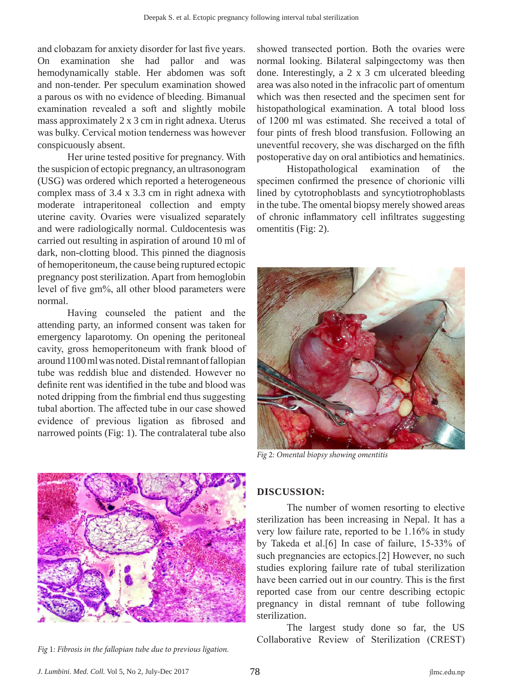and clobazam for anxiety disorder for last five years. On examination she had pallor and was hemodynamically stable. Her abdomen was soft and non-tender. Per speculum examination showed a parous os with no evidence of bleeding. Bimanual examination revealed a soft and slightly mobile mass approximately 2 x 3 cm in right adnexa. Uterus was bulky. Cervical motion tenderness was however conspicuously absent.

Her urine tested positive for pregnancy. With the suspicion of ectopic pregnancy, an ultrasonogram (USG) was ordered which reported a heterogeneous complex mass of 3.4 x 3.3 cm in right adnexa with moderate intraperitoneal collection and empty uterine cavity. Ovaries were visualized separately and were radiologically normal. Culdocentesis was carried out resulting in aspiration of around 10 ml of dark, non-clotting blood. This pinned the diagnosis of hemoperitoneum, the cause being ruptured ectopic pregnancy post sterilization. Apart from hemoglobin level of five gm%, all other blood parameters were normal.

Having counseled the patient and the attending party, an informed consent was taken for emergency laparotomy. On opening the peritoneal cavity, gross hemoperitoneum with frank blood of around 1100 ml was noted. Distal remnant of fallopian tube was reddish blue and distended. However no definite rent was identified in the tube and blood was noted dripping from the fimbrial end thus suggesting tubal abortion. The affected tube in our case showed evidence of previous ligation as fibrosed and narrowed points (Fig: 1). The contralateral tube also showed transected portion. Both the ovaries were normal looking. Bilateral salpingectomy was then done. Interestingly, a 2 x 3 cm ulcerated bleeding area was also noted in the infracolic part of omentum which was then resected and the specimen sent for histopathological examination. A total blood loss of 1200 ml was estimated. She received a total of four pints of fresh blood transfusion. Following an uneventful recovery, she was discharged on the fifth postoperative day on oral antibiotics and hematinics.

Histopathological examination of the specimen confirmed the presence of chorionic villi lined by cytotrophoblasts and syncytiotrophoblasts in the tube. The omental biopsy merely showed areas of chronic inflammatory cell infiltrates suggesting omentitis (Fig: 2).



*Fig* 2*: Omental biopsy showing omentitis*



*Fig* 1*: Fibrosis in the fallopian tube due to previous ligation.*

## **DISCUSSION:**

The number of women resorting to elective sterilization has been increasing in Nepal. It has a very low failure rate, reported to be 1.16% in study by Takeda et al.[6] In case of failure, 15-33% of such pregnancies are ectopics.[2] However, no such studies exploring failure rate of tubal sterilization have been carried out in our country. This is the first reported case from our centre describing ectopic pregnancy in distal remnant of tube following sterilization.

The largest study done so far, the US Collaborative Review of Sterilization (CREST)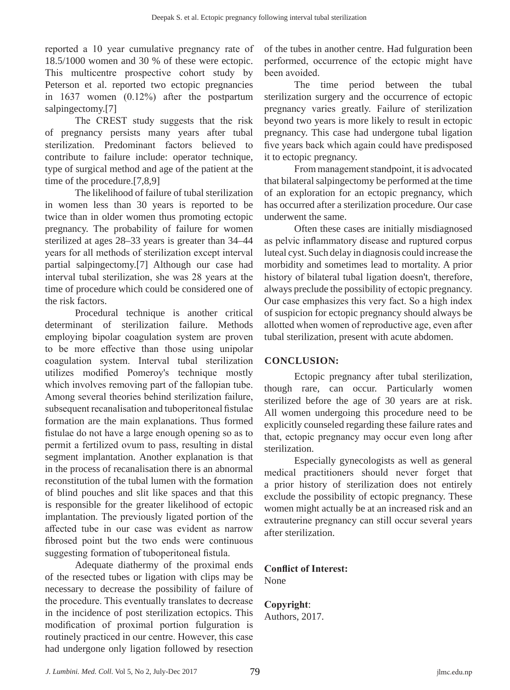reported a 10 year cumulative pregnancy rate of 18.5/1000 women and 30 % of these were ectopic. This multicentre prospective cohort study by Peterson et al. reported two ectopic pregnancies in 1637 women (0.12%) after the postpartum salpingectomy.[7]

The CREST study suggests that the risk of pregnancy persists many years after tubal sterilization. Predominant factors believed to contribute to failure include: operator technique, type of surgical method and age of the patient at the time of the procedure.[7,8,9]

The likelihood of failure of tubal sterilization in women less than 30 years is reported to be twice than in older women thus promoting ectopic pregnancy. The probability of failure for women sterilized at ages 28–33 years is greater than 34–44 years for all methods of sterilization except interval partial salpingectomy.[7] Although our case had interval tubal sterilization, she was 28 years at the time of procedure which could be considered one of the risk factors.

Procedural technique is another critical determinant of sterilization failure. Methods employing bipolar coagulation system are proven to be more effective than those using unipolar coagulation system. Interval tubal sterilization utilizes modified Pomeroy's technique mostly which involves removing part of the fallopian tube. Among several theories behind sterilization failure, subsequent recanalisation and tuboperitoneal fistulae formation are the main explanations. Thus formed fistulae do not have a large enough opening so as to permit a fertilized ovum to pass, resulting in distal segment implantation. Another explanation is that in the process of recanalisation there is an abnormal reconstitution of the tubal lumen with the formation of blind pouches and slit like spaces and that this is responsible for the greater likelihood of ectopic implantation. The previously ligated portion of the affected tube in our case was evident as narrow fibrosed point but the two ends were continuous suggesting formation of tuboperitoneal fistula.

Adequate diathermy of the proximal ends of the resected tubes or ligation with clips may be necessary to decrease the possibility of failure of the procedure. This eventually translates to decrease in the incidence of post sterilization ectopics. This modification of proximal portion fulguration is routinely practiced in our centre. However, this case had undergone only ligation followed by resection

of the tubes in another centre. Had fulguration been performed, occurrence of the ectopic might have been avoided.

The time period between the tubal sterilization surgery and the occurrence of ectopic pregnancy varies greatly. Failure of sterilization beyond two years is more likely to result in ectopic pregnancy. This case had undergone tubal ligation five years back which again could have predisposed it to ectopic pregnancy.

From management standpoint, it is advocated that bilateral salpingectomy be performed at the time of an exploration for an ectopic pregnancy, which has occurred after a sterilization procedure. Our case underwent the same.

Often these cases are initially misdiagnosed as pelvic inflammatory disease and ruptured corpus luteal cyst. Such delay in diagnosis could increase the morbidity and sometimes lead to mortality. A prior history of bilateral tubal ligation doesn't, therefore, always preclude the possibility of ectopic pregnancy. Our case emphasizes this very fact. So a high index of suspicion for ectopic pregnancy should always be allotted when women of reproductive age, even after tubal sterilization, present with acute abdomen.

# **CONCLUSION:**

Ectopic pregnancy after tubal sterilization, though rare, can occur. Particularly women sterilized before the age of 30 years are at risk. All women undergoing this procedure need to be explicitly counseled regarding these failure rates and that, ectopic pregnancy may occur even long after sterilization.

Especially gynecologists as well as general medical practitioners should never forget that a prior history of sterilization does not entirely exclude the possibility of ectopic pregnancy. These women might actually be at an increased risk and an extrauterine pregnancy can still occur several years after sterilization.

**Conflict of Interest:** None

**Copyright**: Authors, 2017.